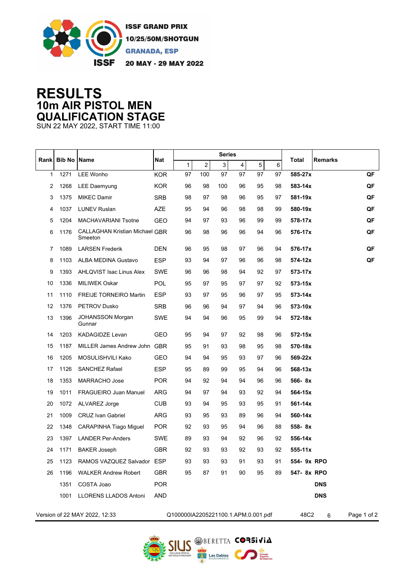

## **RESULTS 10m AIR PISTOL MEN QUALIFICATION STAGE**

SUN 22 MAY 2022, START TIME 11:00

| Rank                          | <b>Bib No Name</b> |                                                  | <b>Nat</b> |                                     |     | <b>Series</b> |                |            |    |                         |             |
|-------------------------------|--------------------|--------------------------------------------------|------------|-------------------------------------|-----|---------------|----------------|------------|----|-------------------------|-------------|
|                               |                    |                                                  |            | 1                                   | 2   | 3             | $\overline{4}$ | $\sqrt{5}$ | 6  | <b>Remarks</b><br>Total |             |
| $\mathbf{1}$                  | 1271               | <b>LEE Wonho</b>                                 | <b>KOR</b> | 97                                  | 100 | 97            | 97             | 97         | 97 | 585-27x                 | QF          |
| 2                             | 1268               | <b>LEE Daemyung</b>                              | <b>KOR</b> | 96                                  | 98  | 100           | 96             | 95         | 98 | 583-14x                 | QF          |
| 3                             | 1375               | <b>MIKEC Damir</b>                               | <b>SRB</b> | 98                                  | 97  | 98            | 96             | 95         | 97 | 581-19x                 | QF          |
| 4                             | 1037               | <b>LUNEV Ruslan</b>                              | <b>AZE</b> | 95                                  | 94  | 96            | 98             | 98         | 99 | 580-19x                 | QF          |
| 5                             | 1204               | <b>MACHAVARIANI Tsotne</b>                       | <b>GEO</b> | 94                                  | 97  | 93            | 96             | 99         | 99 | 578-17x                 | QF          |
| 6                             | 1176               | <b>CALLAGHAN Kristian Michael GBR</b><br>Smeeton |            | 96                                  | 98  | 96            | 96             | 94         | 96 | 576-17x                 | QF          |
| $\overline{7}$                | 1089               | <b>LARSEN Frederik</b>                           | <b>DEN</b> | 96                                  | 95  | 98            | 97             | 96         | 94 | 576-17x                 | QF          |
| 8                             | 1103               | <b>ALBA MEDINA Gustavo</b>                       | <b>ESP</b> | 93                                  | 94  | 97            | 96             | 96         | 98 | 574-12x                 | QF          |
| 9                             | 1393               | AHLQVIST Isac Linus Alex                         | SWE        | 96                                  | 96  | 98            | 94             | 92         | 97 | 573-17x                 |             |
| 10                            | 1336               | <b>MILIWEK Oskar</b>                             | POL        | 95                                  | 97  | 95            | 97             | 97         | 92 | 573-15x                 |             |
| 11                            | 1110               | <b>FREIJE TORNEIRO Martin</b>                    | <b>ESP</b> | 93                                  | 97  | 95            | 96             | 97         | 95 | 573-14x                 |             |
| 12                            | 1376               | <b>PETROV Dusko</b>                              | <b>SRB</b> | 96                                  | 96  | 94            | 97             | 94         | 96 | 573-10x                 |             |
| 13                            | 1396               | <b>JOHANSSON Morgan</b><br>Gunnar                | SWE        | 94                                  | 94  | 96            | 95             | 99         | 94 | 572-18x                 |             |
| 14                            | 1203               | <b>KADAGIDZE Levan</b>                           | <b>GEO</b> | 95                                  | 94  | 97            | 92             | 98         | 96 | 572-15x                 |             |
| 15                            | 1187               | MILLER James Andrew John                         | <b>GBR</b> | 95                                  | 91  | 93            | 98             | 95         | 98 | 570-18x                 |             |
| 16                            | 1205               | MOSULISHVILI Kako                                | <b>GEO</b> | 94                                  | 94  | 95            | 93             | 97         | 96 | 569-22x                 |             |
| 17                            | 1126               | <b>SANCHEZ Rafael</b>                            | <b>ESP</b> | 95                                  | 89  | 99            | 95             | 94         | 96 | 568-13x                 |             |
| 18                            | 1353               | <b>MARRACHO Jose</b>                             | <b>POR</b> | 94                                  | 92  | 94            | 94             | 96         | 96 | 566-8x                  |             |
| 19                            | 1011               | <b>FRAGUEIRO Juan Manuel</b>                     | ARG        | 94                                  | 97  | 94            | 93             | 92         | 94 | 564-15x                 |             |
| 20                            | 1072               | ALVAREZ Jorge                                    | <b>CUB</b> | 93                                  | 94  | 95            | 93             | 95         | 91 | 561-14x                 |             |
| 21                            | 1009               | <b>CRUZ Ivan Gabriel</b>                         | <b>ARG</b> | 93                                  | 95  | 93            | 89             | 96         | 94 | 560-14x                 |             |
| 22                            | 1348               | CARAPINHA Tiago Miguel                           | <b>POR</b> | 92                                  | 93  | 95            | 94             | 96         | 88 | 558-8x                  |             |
| 23                            | 1397               | <b>LANDER Per-Anders</b>                         | SWE        | 89                                  | 93  | 94            | 92             | 96         | 92 | 556-14x                 |             |
| 24                            | 1171               | <b>BAKER Joseph</b>                              | <b>GBR</b> | 92                                  | 93  | 93            | 92             | 93         | 92 | $555 - 11x$             |             |
| 25                            | 1123               | RAMOS VAZQUEZ Salvador ESP                       |            | 93                                  | 93  | 93            | 91             | 93         | 91 | 554- 9x RPO             |             |
| 26                            | 1196               | <b>WALKER Andrew Robert</b>                      | <b>GBR</b> | 95                                  | 87  | 91            | 90             | 95         | 89 | 547- 8x RPO             |             |
|                               | 1351               | COSTA Joao                                       | <b>POR</b> |                                     |     |               |                |            |    | <b>DNS</b>              |             |
|                               | 1001               | <b>LLORENS LLADOS Antoni</b>                     | <b>AND</b> |                                     |     |               |                |            |    | <b>DNS</b>              |             |
| Version of 22 MAY 2022, 12:33 |                    |                                                  |            | Q100000IA2205221100.1.APM.0.001.pdf |     |               |                |            |    | 48C2<br>6               | Page 1 of 2 |